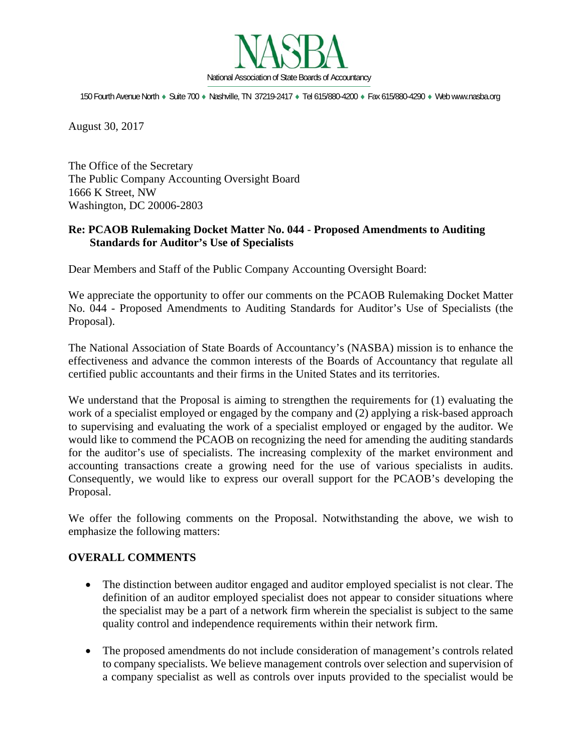

150 Fourth Avenue North · Suite 700 · Nashville, TN 37219-2417 · Tel 615/880-4200 · Fax 615/880-4290 · Web www.nasba.org

August 30, 2017

The Office of the Secretary The Public Company Accounting Oversight Board 1666 K Street, NW Washington, DC 20006-2803

## **Re: PCAOB Rulemaking Docket Matter No. 044** - **Proposed Amendments to Auditing Standards for Auditor's Use of Specialists**

Dear Members and Staff of the Public Company Accounting Oversight Board:

We appreciate the opportunity to offer our comments on the PCAOB Rulemaking Docket Matter No. 044 - Proposed Amendments to Auditing Standards for Auditor's Use of Specialists (the Proposal).

The National Association of State Boards of Accountancy's (NASBA) mission is to enhance the effectiveness and advance the common interests of the Boards of Accountancy that regulate all certified public accountants and their firms in the United States and its territories.

We understand that the Proposal is aiming to strengthen the requirements for  $(1)$  evaluating the work of a specialist employed or engaged by the company and (2) applying a risk-based approach to supervising and evaluating the work of a specialist employed or engaged by the auditor*.* We would like to commend the PCAOB on recognizing the need for amending the auditing standards for the auditor's use of specialists. The increasing complexity of the market environment and accounting transactions create a growing need for the use of various specialists in audits. Consequently, we would like to express our overall support for the PCAOB's developing the Proposal.

We offer the following comments on the Proposal. Notwithstanding the above, we wish to emphasize the following matters:

## **OVERALL COMMENTS**

- The distinction between auditor engaged and auditor employed specialist is not clear. The definition of an auditor employed specialist does not appear to consider situations where the specialist may be a part of a network firm wherein the specialist is subject to the same quality control and independence requirements within their network firm.
- The proposed amendments do not include consideration of management's controls related to company specialists. We believe management controls over selection and supervision of a company specialist as well as controls over inputs provided to the specialist would be